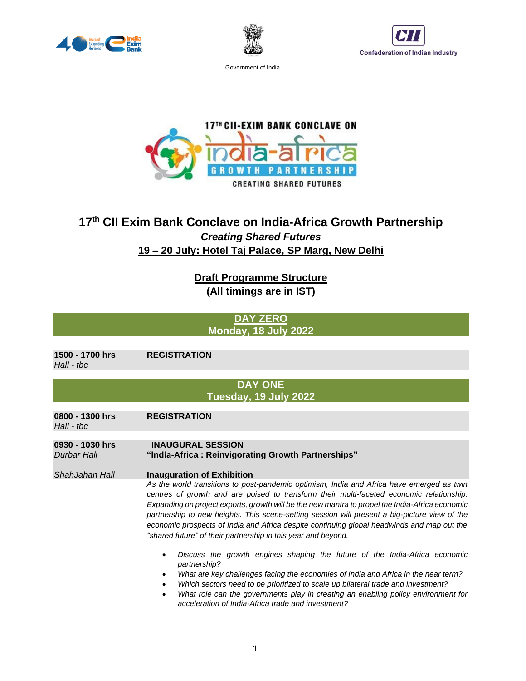





**17<sup>TH</sup> CII-EXIM BANK CONCLAVE ON RSHIP** G п **NE CREATING SHARED FUTURES** 

# **17th CII Exim Bank Conclave on India-Africa Growth Partnership** *Creating Shared Futures* **19 – 20 July: Hotel Taj Palace, SP Marg, New Delhi**

**Draft Programme Structure (All timings are in IST)**

> **DAY ZERO Monday, 18 July 2022**

**1500 - 1700 hrs REGISTRATION**  *Hall - tbc*

## **DAY ONE Tuesday, 19 July 2022**

| 0800 - 1300 hrs<br>$Hall - tbc$       | <b>REGISTRATION</b>                                                                                                                                                                                                                                                                                                                                                                                                                                                                                                                                      |  |
|---------------------------------------|----------------------------------------------------------------------------------------------------------------------------------------------------------------------------------------------------------------------------------------------------------------------------------------------------------------------------------------------------------------------------------------------------------------------------------------------------------------------------------------------------------------------------------------------------------|--|
|                                       |                                                                                                                                                                                                                                                                                                                                                                                                                                                                                                                                                          |  |
| 0930 - 1030 hrs<br><b>Durbar Hall</b> | <b>INAUGURAL SESSION</b><br>"India-Africa: Reinvigorating Growth Partnerships"                                                                                                                                                                                                                                                                                                                                                                                                                                                                           |  |
|                                       |                                                                                                                                                                                                                                                                                                                                                                                                                                                                                                                                                          |  |
| ShahJahan Hall                        | <b>Inauguration of Exhibition</b>                                                                                                                                                                                                                                                                                                                                                                                                                                                                                                                        |  |
|                                       | As the world transitions to post-pandemic optimism, India and Africa have emerged as twin<br>centres of growth and are poised to transform their multi-faceted economic relationship.<br>Expanding on project exports, growth will be the new mantra to propel the India-Africa economic<br>partnership to new heights. This scene-setting session will present a big-picture view of the<br>economic prospects of India and Africa despite continuing global headwinds and map out the<br>"shared future" of their partnership in this year and beyond. |  |
|                                       | Discuss the growth engines shaping the future of the India-Africa economic<br>partnership?<br>What are key challenges facing the economies of India and Africa in the near term?<br>Which sectors need to be prioritized to scale up bilateral trade and investment?<br>$\bullet$<br>What role can the governments play in creating an enabling policy environment for<br>$\bullet$<br>acceleration of India-Africa trade and investment?                                                                                                                |  |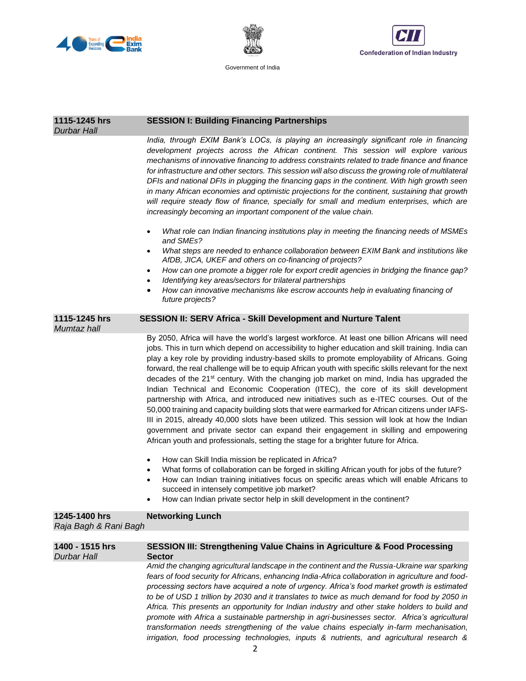





| 1115-1245 hrs<br><b>Durbar Hall</b>    | <b>SESSION I: Building Financing Partnerships</b>                                                                                                                                                                                                                                                                                                                                                                                                                                                                                                                                                                                                                                                                                                                                                                                                                                                                                                                                                                                                                                                                                                                          |  |  |
|----------------------------------------|----------------------------------------------------------------------------------------------------------------------------------------------------------------------------------------------------------------------------------------------------------------------------------------------------------------------------------------------------------------------------------------------------------------------------------------------------------------------------------------------------------------------------------------------------------------------------------------------------------------------------------------------------------------------------------------------------------------------------------------------------------------------------------------------------------------------------------------------------------------------------------------------------------------------------------------------------------------------------------------------------------------------------------------------------------------------------------------------------------------------------------------------------------------------------|--|--|
|                                        | India, through EXIM Bank's LOCs, is playing an increasingly significant role in financing<br>development projects across the African continent. This session will explore various<br>mechanisms of innovative financing to address constraints related to trade finance and finance<br>for infrastructure and other sectors. This session will also discuss the growing role of multilateral<br>DFIs and national DFIs in plugging the financing gaps in the continent. With high growth seen<br>in many African economies and optimistic projections for the continent, sustaining that growth<br>will require steady flow of finance, specially for small and medium enterprises, which are<br>increasingly becoming an important component of the value chain.                                                                                                                                                                                                                                                                                                                                                                                                          |  |  |
|                                        | What role can Indian financing institutions play in meeting the financing needs of MSMEs<br>$\bullet$<br>and SMEs?                                                                                                                                                                                                                                                                                                                                                                                                                                                                                                                                                                                                                                                                                                                                                                                                                                                                                                                                                                                                                                                         |  |  |
|                                        | What steps are needed to enhance collaboration between EXIM Bank and institutions like<br>٠<br>AfDB, JICA, UKEF and others on co-financing of projects?                                                                                                                                                                                                                                                                                                                                                                                                                                                                                                                                                                                                                                                                                                                                                                                                                                                                                                                                                                                                                    |  |  |
|                                        | How can one promote a bigger role for export credit agencies in bridging the finance gap?<br>٠<br>Identifying key areas/sectors for trilateral partnerships<br>$\bullet$                                                                                                                                                                                                                                                                                                                                                                                                                                                                                                                                                                                                                                                                                                                                                                                                                                                                                                                                                                                                   |  |  |
|                                        | How can innovative mechanisms like escrow accounts help in evaluating financing of<br>$\bullet$<br>future projects?                                                                                                                                                                                                                                                                                                                                                                                                                                                                                                                                                                                                                                                                                                                                                                                                                                                                                                                                                                                                                                                        |  |  |
| 1115-1245 hrs<br>Mumtaz hall           | <b>SESSION II: SERV Africa - Skill Development and Nurture Talent</b>                                                                                                                                                                                                                                                                                                                                                                                                                                                                                                                                                                                                                                                                                                                                                                                                                                                                                                                                                                                                                                                                                                      |  |  |
|                                        | By 2050, Africa will have the world's largest workforce. At least one billion Africans will need<br>jobs. This in turn which depend on accessibility to higher education and skill training. India can<br>play a key role by providing industry-based skills to promote employability of Africans. Going<br>forward, the real challenge will be to equip African youth with specific skills relevant for the next<br>decades of the 21 <sup>st</sup> century. With the changing job market on mind, India has upgraded the<br>Indian Technical and Economic Cooperation (ITEC), the core of its skill development<br>partnership with Africa, and introduced new initiatives such as e-ITEC courses. Out of the<br>50,000 training and capacity building slots that were earmarked for African citizens under IAFS-<br>III in 2015, already 40,000 slots have been utilized. This session will look at how the Indian<br>government and private sector can expand their engagement in skilling and empowering<br>African youth and professionals, setting the stage for a brighter future for Africa.<br>How can Skill India mission be replicated in Africa?<br>$\bullet$ |  |  |
|                                        | What forms of collaboration can be forged in skilling African youth for jobs of the future?<br>$\bullet$<br>How can Indian training initiatives focus on specific areas which will enable Africans to<br>$\bullet$<br>succeed in intensely competitive job market?<br>How can Indian private sector help in skill development in the continent?                                                                                                                                                                                                                                                                                                                                                                                                                                                                                                                                                                                                                                                                                                                                                                                                                            |  |  |
| 1245-1400 hrs<br>Raja Bagh & Rani Bagh | <b>Networking Lunch</b>                                                                                                                                                                                                                                                                                                                                                                                                                                                                                                                                                                                                                                                                                                                                                                                                                                                                                                                                                                                                                                                                                                                                                    |  |  |
| 1400 - 1515 hrs<br><b>Durbar Hall</b>  | SESSION III: Strengthening Value Chains in Agriculture & Food Processing<br><b>Sector</b>                                                                                                                                                                                                                                                                                                                                                                                                                                                                                                                                                                                                                                                                                                                                                                                                                                                                                                                                                                                                                                                                                  |  |  |
|                                        | Amid the changing agricultural landscape in the continent and the Russia-Ukraine war sparking                                                                                                                                                                                                                                                                                                                                                                                                                                                                                                                                                                                                                                                                                                                                                                                                                                                                                                                                                                                                                                                                              |  |  |

*fears of food security for Africans, enhancing India-Africa collaboration in agriculture and foodprocessing sectors have acquired a note of urgency. Africa's food market growth is estimated to be of USD 1 trillion by 2030 and it translates to twice as much demand for food by 2050 in Africa. This presents an opportunity for Indian industry and other stake holders to build and promote with Africa a sustainable partnership in agri-businesses sector. Africa's agricultural transformation needs strengthening of the value chains especially in-farm mechanisation, irrigation, food processing technologies, inputs & nutrients, and agricultural research &*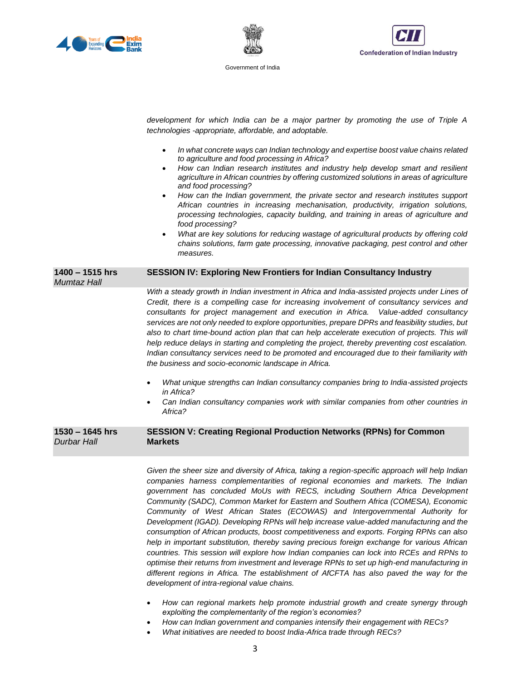





|                                         | development for which India can be a major partner by promoting the use of Triple A<br>technologies -appropriate, affordable, and adoptable.<br>In what concrete ways can Indian technology and expertise boost value chains related<br>$\bullet$<br>to agriculture and food processing in Africa?<br>How can Indian research institutes and industry help develop smart and resilient<br>$\bullet$<br>agriculture in African countries by offering customized solutions in areas of agriculture<br>and food processing?<br>How can the Indian government, the private sector and research institutes support<br>African countries in increasing mechanisation, productivity, irrigation solutions,<br>processing technologies, capacity building, and training in areas of agriculture and<br>food processing? |
|-----------------------------------------|-----------------------------------------------------------------------------------------------------------------------------------------------------------------------------------------------------------------------------------------------------------------------------------------------------------------------------------------------------------------------------------------------------------------------------------------------------------------------------------------------------------------------------------------------------------------------------------------------------------------------------------------------------------------------------------------------------------------------------------------------------------------------------------------------------------------|
|                                         | What are key solutions for reducing wastage of agricultural products by offering cold<br>$\bullet$<br>chains solutions, farm gate processing, innovative packaging, pest control and other<br>measures.                                                                                                                                                                                                                                                                                                                                                                                                                                                                                                                                                                                                         |
| $1400 - 1515$ hrs<br><b>Mumtaz Hall</b> | SESSION IV: Exploring New Frontiers for Indian Consultancy Industry                                                                                                                                                                                                                                                                                                                                                                                                                                                                                                                                                                                                                                                                                                                                             |
|                                         | With a steady growth in Indian investment in Africa and India-assisted projects under Lines of<br>Credit, there is a compelling case for increasing involvement of consultancy services and<br>consultants for project management and execution in Africa. Value-added consultancy<br>services are not only needed to explore opportunities, prepare DPRs and feasibility studies, but<br>also to chart time-bound action plan that can help accelerate execution of projects. This will<br>help reduce delays in starting and completing the project, thereby preventing cost escalation.<br>Indian consultancy services need to be promoted and encouraged due to their familiarity with<br>the business and socio-economic landscape in Africa.                                                              |
|                                         | What unique strengths can Indian consultancy companies bring to India-assisted projects<br>in Africa?                                                                                                                                                                                                                                                                                                                                                                                                                                                                                                                                                                                                                                                                                                           |
|                                         | Can Indian consultancy companies work with similar companies from other countries in<br>Africa?                                                                                                                                                                                                                                                                                                                                                                                                                                                                                                                                                                                                                                                                                                                 |
| $1530 - 1645$ hrs<br><b>Durbar Hall</b> | <b>SESSION V: Creating Regional Production Networks (RPNs) for Common</b><br><b>Markets</b>                                                                                                                                                                                                                                                                                                                                                                                                                                                                                                                                                                                                                                                                                                                     |

*Given the sheer size and diversity of Africa, taking a region-specific approach will help Indian companies harness complementarities of regional economies and markets. The Indian government has concluded MoUs with RECS, including Southern Africa Development Community (SADC), Common Market for Eastern and Southern Africa (COMESA), Economic Community of West African States (ECOWAS) and Intergovernmental Authority for Development (IGAD). Developing RPNs will help increase value-added manufacturing and the consumption of African products, boost competitiveness and exports. Forging RPNs can also help in important substitution, thereby saving precious foreign exchange for various African countries. This session will explore how Indian companies can lock into RCEs and RPNs to optimise their returns from investment and leverage RPNs to set up high-end manufacturing in different regions in Africa. The establishment of AfCFTA has also paved the way for the development of intra-regional value chains.*

- *How can regional markets help promote industrial growth and create synergy through exploiting the complementarity of the region's economies?*
- *How can Indian government and companies intensify their engagement with RECs?*
- *What initiatives are needed to boost India-Africa trade through RECs?*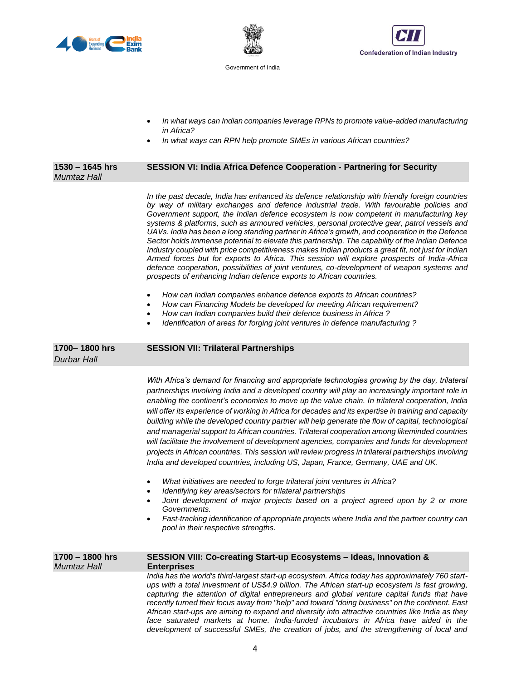





- *In what ways can Indian companies leverage RPNs to promote value-added manufacturing in Africa?*
- *In what ways can RPN help promote SMEs in various African countries?*

| 1530 - 1645 hrs<br><b>Mumtaz Hall</b> | SESSION VI: India Africa Defence Cooperation - Partnering for Security                                                                                                                                                                                                                                                                                                                                                                                                                                                                                                                                                                                                                                                                                                                                                                                                                                                                                                |
|---------------------------------------|-----------------------------------------------------------------------------------------------------------------------------------------------------------------------------------------------------------------------------------------------------------------------------------------------------------------------------------------------------------------------------------------------------------------------------------------------------------------------------------------------------------------------------------------------------------------------------------------------------------------------------------------------------------------------------------------------------------------------------------------------------------------------------------------------------------------------------------------------------------------------------------------------------------------------------------------------------------------------|
|                                       | In the past decade, India has enhanced its defence relationship with friendly foreign countries<br>by way of military exchanges and defence industrial trade. With favourable policies and<br>Government support, the Indian defence ecosystem is now competent in manufacturing key<br>systems & platforms, such as armoured vehicles, personal protective gear, patrol vessels and<br>UAVs. India has been a long standing partner in Africa's growth, and cooperation in the Defence<br>Sector holds immense potential to elevate this partnership. The capability of the Indian Defence<br>Industry coupled with price competitiveness makes Indian products a great fit, not just for Indian<br>Armed forces but for exports to Africa. This session will explore prospects of India-Africa<br>defence cooperation, possibilities of joint ventures, co-development of weapon systems and<br>prospects of enhancing Indian defence exports to African countries. |
|                                       | How can Indian companies enhance defence exports to African countries?<br>How can Financing Models be developed for meeting African requirement?<br>How can Indian companies build their defence business in Africa ?<br>Identification of areas for forging joint ventures in defence manufacturing ?                                                                                                                                                                                                                                                                                                                                                                                                                                                                                                                                                                                                                                                                |
| 1700-1800 hrs<br>Durbar Hall          | <b>SESSION VII: Trilateral Partnerships</b>                                                                                                                                                                                                                                                                                                                                                                                                                                                                                                                                                                                                                                                                                                                                                                                                                                                                                                                           |
|                                       | With Africa's demand for financing and appropriate technologies growing by the day, trilateral<br>partnerships involving India and a developed country will play an increasingly important role in<br>enabling the continent's economies to move up the value chain. In trilateral cooperation, India<br>will offer its experience of working in Africa for decades and its expertise in training and capacity<br>building while the developed country partner will help generate the flow of capital, technological<br>and managerial support to African countries. Trilateral cooperation among likeminded countries<br>will facilitate the involvement of development agencies, companies and funds for development<br>projects in African countries. This session will review progress in trilateral partnerships involving<br>India and developed countries, including US, Japan, France, Germany, UAE and UK.                                                   |
|                                       | What initiatives are needed to forge trilateral joint ventures in Africa?<br>$\bullet$<br>Identifying key areas/sectors for trilateral partnerships<br>٠<br>Joint development of major projects based on a project agreed upon by 2 or more<br>Governments.<br>Fast-tracking identification of appropriate projects where India and the partner country can<br>pool in their respective strengths.                                                                                                                                                                                                                                                                                                                                                                                                                                                                                                                                                                    |
| 1700 – 1800 hrs<br><b>Mumtaz Hall</b> | SESSION VIII: Co-creating Start-up Ecosystems - Ideas, Innovation &<br><b>Enterprises</b><br>India has the world's third-largest start-up ecosystem. Africa today has approximately 760 start-<br>ups with a total investment of US\$4.9 billion. The African start-up ecosystem is fast growing,<br>capturing the attention of digital entrepreneurs and global venture capital funds that have<br>recently turned their focus away from "help" and toward "doing business" on the continent. East<br>African start-ups are aiming to expand and diversify into attractive countries like India as they<br>face saturated markets at home. India-funded incubators in Africa have aided in the<br>development of successful SMEs, the creation of jobs, and the strengthening of local and                                                                                                                                                                           |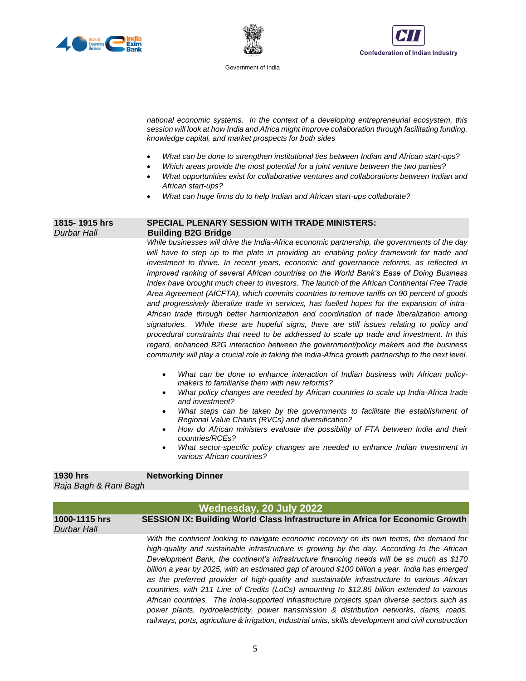





*national economic systems. In the context of a developing entrepreneurial ecosystem, this session will look at how India and Africa might improve collaboration through facilitating funding, knowledge capital, and market prospects for both sides*

- *What can be done to strengthen institutional ties between Indian and African start-ups?*
- *Which areas provide the most potential for a joint venture between the two parties?*
- *What opportunities exist for collaborative ventures and collaborations between Indian and African start-ups?*
- *What can huge firms do to help Indian and African start-ups collaborate?*

### **1815- 1915 hrs SPECIAL PLENARY SESSION WITH TRADE MINISTERS:** *Durbar Hall* **Building B2G Bridge**

*While businesses will drive the India-Africa economic partnership, the governments of the day*  will have to step up to the plate in providing an enabling policy framework for trade and *investment to thrive. In recent years, economic and governance reforms, as reflected in improved ranking of several African countries on the World Bank's Ease of Doing Business Index have brought much cheer to investors. The launch of the African Continental Free Trade Area Agreement (AfCFTA), which commits countries to remove tariffs on 90 percent of goods and progressively liberalize trade in services, has fuelled hopes for the expansion of intra-African trade through better harmonization and coordination of trade liberalization among signatories. While these are hopeful signs, there are still issues relating to policy and procedural constraints that need to be addressed to scale up trade and investment. In this regard, enhanced B2G interaction between the government/policy makers and the business community will play a crucial role in taking the India-Africa growth partnership to the next level.* 

- What can be done to enhance interaction of Indian business with African policy*makers to familiarise them with new reforms?*
- *What policy changes are needed by African countries to scale up India-Africa trade and investment?*
- What steps can be taken by the governments to facilitate the establishment of *Regional Value Chains (RVCs) and diversification?*
- *How do African ministers evaluate the possibility of FTA between India and their countries/RCEs?*
- *What sector-specific policy changes are needed to enhance Indian investment in various African countries?*

**1930 hrs Networking Dinner** *Raja Bagh & Rani Bagh*

| Wednesday, 20 July 2022      |                                                                                                                                                                                                                                                                                                                                                                                                                                                                                                                                                                                                                                                                                                                                                                                                                                                                                             |
|------------------------------|---------------------------------------------------------------------------------------------------------------------------------------------------------------------------------------------------------------------------------------------------------------------------------------------------------------------------------------------------------------------------------------------------------------------------------------------------------------------------------------------------------------------------------------------------------------------------------------------------------------------------------------------------------------------------------------------------------------------------------------------------------------------------------------------------------------------------------------------------------------------------------------------|
| 1000-1115 hrs<br>Durbar Hall | SESSION IX: Building World Class Infrastructure in Africa for Economic Growth                                                                                                                                                                                                                                                                                                                                                                                                                                                                                                                                                                                                                                                                                                                                                                                                               |
|                              | With the continent looking to navigate economic recovery on its own terms, the demand for<br>high-quality and sustainable infrastructure is growing by the day. According to the African<br>Development Bank, the continent's infrastructure financing needs will be as much as \$170<br>billion a year by 2025, with an estimated gap of around \$100 billion a year. India has emerged<br>as the preferred provider of high-quality and sustainable infrastructure to various African<br>countries, with 211 Line of Credits (LoCs) amounting to \$12.85 billion extended to various<br>African countries. The India-supported infrastructure projects span diverse sectors such as<br>power plants, hydroelectricity, power transmission & distribution networks, dams, roads,<br>railways, ports, agriculture & irrigation, industrial units, skills development and civil construction |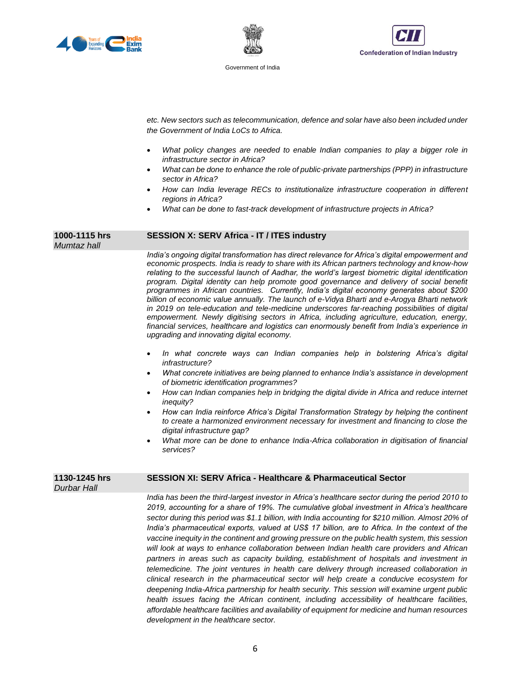





*etc. New sectors such as telecommunication, defence and solar have also been included under the Government of India LoCs to Africa.*

- *What policy changes are needed to enable Indian companies to play a bigger role in infrastructure sector in Africa?*
- *What can be done to enhance the role of public-private partnerships (PPP) in infrastructure sector in Africa?*
- *How can India leverage RECs to institutionalize infrastructure cooperation in different regions in Africa?*
- *What can be done to fast-track development of infrastructure projects in Africa?*

#### **1000-1115 hrs SESSION X: SERV Africa - IT / ITES industry**

*India's ongoing digital transformation has direct relevance for Africa's digital empowerment and economic prospects. India is ready to share with its African partners technology and know-how relating to the successful launch of Aadhar, the world's largest biometric digital identification program. Digital identity can help promote good governance and delivery of social benefit programmes in African countries. Currently, India's digital economy generates about \$200 billion of economic value annually. The launch of e-Vidya Bharti and e-Arogya Bharti network in 2019 on tele-education and tele-medicine underscores far-reaching possibilities of digital empowerment. Newly digitising sectors in Africa, including agriculture, education, energy, financial services, healthcare and logistics can enormously benefit from India's experience in upgrading and innovating digital economy.* 

- *In what concrete ways can Indian companies help in bolstering Africa's digital infrastructure?*
- *What concrete initiatives are being planned to enhance India's assistance in development of biometric identification programmes?*
- *How can Indian companies help in bridging the digital divide in Africa and reduce internet inequity?*
- *How can India reinforce Africa's Digital Transformation Strategy by helping the continent to create a harmonized environment necessary for investment and financing to close the digital infrastructure gap?*
- *What more can be done to enhance India-Africa collaboration in digitisation of financial services?*

#### **1130-1245 hrs SESSION XI: SERV Africa - Healthcare & Pharmaceutical Sector**

*Durbar Hall* 

*Mumtaz hall*

*India has been the third-largest investor in Africa's healthcare sector during the period 2010 to 2019, accounting for a share of 19%. The cumulative global investment in Africa's healthcare sector during this period was \$1.1 billion, with India accounting for \$210 million. Almost 20% of India's pharmaceutical exports, valued at US\$ 17 billion, are to Africa. In the context of the vaccine inequity in the continent and growing pressure on the public health system, this session will look at ways to enhance collaboration between Indian health care providers and African*  partners in areas such as capacity building, establishment of hospitals and investment in *telemedicine. The joint ventures in health care delivery through increased collaboration in clinical research in the pharmaceutical sector will help create a conducive ecosystem for deepening India-Africa partnership for health security. This session will examine urgent public*  health issues facing the African continent, including accessibility of healthcare facilities, *affordable healthcare facilities and availability of equipment for medicine and human resources development in the healthcare sector.*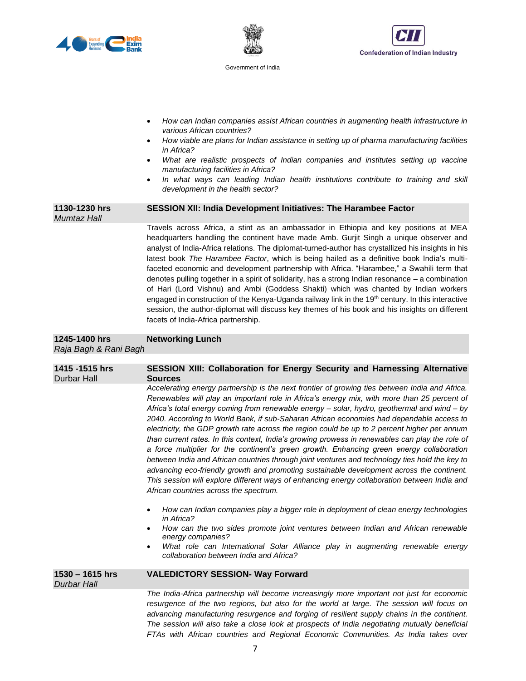





- *How can Indian companies assist African countries in augmenting health infrastructure in various African countries?*
- *How viable are plans for Indian assistance in setting up of pharma manufacturing facilities in Africa?*
- *What are realistic prospects of Indian companies and institutes setting up vaccine manufacturing facilities in Africa?*
- *In what ways can leading Indian health institutions contribute to training and skill development in the health sector?*

#### **1130-1230 hrs SESSION XII: India Development Initiatives: The Harambee Factor**  *Mumtaz Hall*

Travels across Africa, a stint as an ambassador in Ethiopia and key positions at MEA headquarters handling the continent have made Amb. Gurjit Singh a unique observer and analyst of India-Africa relations. The diplomat-turned-author has crystallized his insights in his latest book *The Harambee Factor*, which is being hailed as a definitive book India's multifaceted economic and development partnership with Africa. "Harambee," a Swahili term that denotes pulling together in a spirit of solidarity, has a strong Indian resonance – a combination of Hari (Lord Vishnu) and Ambi (Goddess Shakti) which was chanted by Indian workers engaged in construction of the Kenya-Uganda railway link in the 19<sup>th</sup> century. In this interactive session, the author-diplomat will discuss key themes of his book and his insights on different facets of India-Africa partnership.

#### **1245-1400 hrs Networking Lunch**  *Raja Bagh & Rani Bagh*

## **1415 -1515 hrs SESSION XIII: Collaboration for Energy Security and Harnessing Alternative**  Durbar Hall **Sources**  *Accelerating energy partnership is the next frontier of growing ties between India and Africa. Renewables will play an important role in Africa's energy mix, with more than 25 percent of Africa's total energy coming from renewable energy – solar, hydro, geothermal and wind – by 2040. According to World Bank, if sub-Saharan African economies had dependable access to electricity, the GDP growth rate across the region could be up to 2 percent higher per annum than current rates. In this context, India's growing prowess in renewables can play the role of a force multiplier for the continent's green growth. Enhancing green energy collaboration between India and African countries through joint ventures and technology ties hold the key to advancing eco-friendly growth and promoting sustainable development across the continent. This session will explore different ways of enhancing energy collaboration between India and African countries across the spectrum.*  • *How can Indian companies play a bigger role in deployment of clean energy technologies in Africa?*  • *How can the two sides promote joint ventures between Indian and African renewable energy companies?*  • *What role can International Solar Alliance play in augmenting renewable energy collaboration between India and Africa?* **1530 – 1615 hrs VALEDICTORY SESSION- Way Forward** *Durbar Hall The India-Africa partnership will become increasingly more important not just for economic resurgence of the two regions, but also for the world at large. The session will focus on*

*advancing manufacturing resurgence and forging of resilient supply chains in the continent. The session will also take a close look at prospects of India negotiating mutually beneficial FTAs with African countries and Regional Economic Communities. As India takes over*